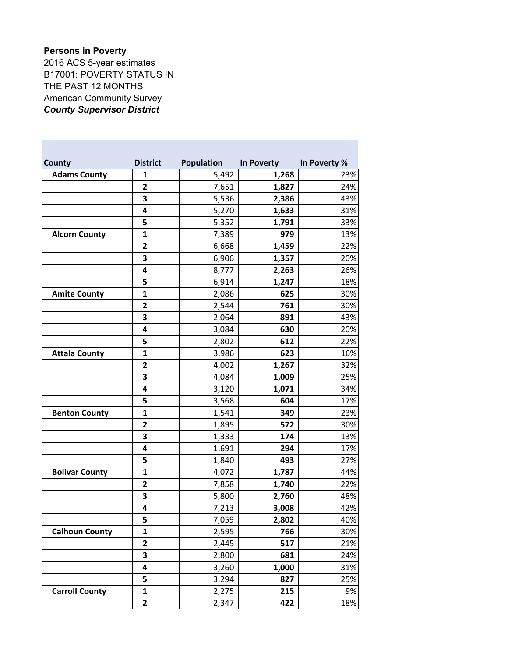## **Persons in Poverty**

2016 ACS 5-year estimates B17001: POVERTY STATUS IN THE PAST 12 MONTHS American Community Survey *County Supervisor District*

| <b>County</b>         | <b>District</b>         | Population | In Poverty | In Poverty % |
|-----------------------|-------------------------|------------|------------|--------------|
| <b>Adams County</b>   | $\mathbf{1}$            | 5,492      | 1,268      | 23%          |
|                       | $\mathbf{2}$            | 7,651      | 1,827      | 24%          |
|                       | 3                       | 5,536      | 2,386      | 43%          |
|                       | 4                       | 5,270      | 1,633      | 31%          |
|                       | 5                       | 5,352      | 1,791      | 33%          |
| <b>Alcorn County</b>  | 1                       | 7,389      | 979        | 13%          |
|                       | $\mathbf{2}$            | 6,668      | 1,459      | 22%          |
|                       | 3                       | 6,906      | 1,357      | 20%          |
|                       | 4                       | 8,777      | 2,263      | 26%          |
|                       | 5                       | 6,914      | 1,247      | 18%          |
| <b>Amite County</b>   | $\mathbf{1}$            | 2,086      | 625        | 30%          |
|                       | $\mathbf{2}$            | 2,544      | 761        | 30%          |
|                       | 3                       | 2,064      | 891        | 43%          |
|                       | 4                       | 3,084      | 630        | 20%          |
|                       | 5                       | 2,802      | 612        | 22%          |
| <b>Attala County</b>  | 1                       | 3,986      | 623        | 16%          |
|                       | $\mathbf{2}$            | 4,002      | 1,267      | 32%          |
|                       | 3                       | 4,084      | 1,009      | 25%          |
|                       | 4                       | 3,120      | 1,071      | 34%          |
|                       | 5                       | 3,568      | 604        | 17%          |
| <b>Benton County</b>  | 1                       | 1,541      | 349        | 23%          |
|                       | $\mathbf{2}$            | 1,895      | 572        | 30%          |
|                       | 3                       | 1,333      | 174        | 13%          |
|                       | 4                       | 1,691      | 294        | 17%          |
|                       | 5                       | 1,840      | 493        | 27%          |
| <b>Bolivar County</b> | 1                       | 4,072      | 1,787      | 44%          |
|                       | $\mathbf{2}$            | 7,858      | 1,740      | 22%          |
|                       | 3                       | 5,800      | 2,760      | 48%          |
|                       | 4                       | 7,213      | 3,008      | 42%          |
|                       | 5                       | 7,059      | 2,802      | 40%          |
| <b>Calhoun County</b> | 1                       | 2,595      | 766        | 30%          |
|                       | $\overline{\mathbf{c}}$ | 2,445      | 517        | 21%          |
|                       | 3                       | 2,800      | 681        | 24%          |
|                       | 4                       | 3,260      | 1,000      | 31%          |
|                       | 5                       | 3,294      | 827        | 25%          |
| <b>Carroll County</b> | $\mathbf{1}$            | 2,275      | 215        | 9%           |
|                       | 2                       | 2,347      | 422        | 18%          |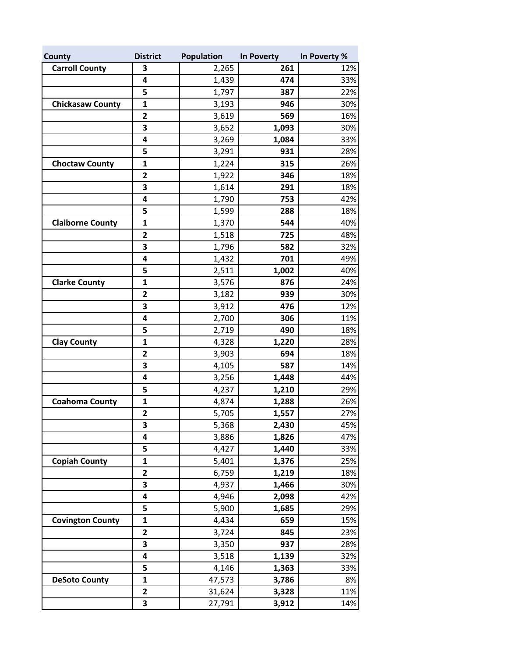| <b>County</b>           | <b>District</b>         | Population | In Poverty | In Poverty % |
|-------------------------|-------------------------|------------|------------|--------------|
| <b>Carroll County</b>   | 3                       | 2,265      | 261        | 12%          |
|                         | 4                       | 1,439      | 474        | 33%          |
|                         | 5                       | 1,797      | 387        | 22%          |
| <b>Chickasaw County</b> | $\mathbf 1$             | 3,193      | 946        | 30%          |
|                         | $\mathbf{2}$            | 3,619      | 569        | 16%          |
|                         | 3                       | 3,652      | 1,093      | 30%          |
|                         | 4                       | 3,269      | 1,084      | 33%          |
|                         | 5                       | 3,291      | 931        | 28%          |
| <b>Choctaw County</b>   | $\mathbf{1}$            | 1,224      | 315        | 26%          |
|                         | $\mathbf{2}$            | 1,922      | 346        | 18%          |
|                         | 3                       | 1,614      | 291        | 18%          |
|                         | 4                       | 1,790      | 753        | 42%          |
|                         | 5                       | 1,599      | 288        | 18%          |
| <b>Claiborne County</b> | $\mathbf{1}$            | 1,370      | 544        | 40%          |
|                         | $\mathbf{2}$            | 1,518      | 725        | 48%          |
|                         | 3                       | 1,796      | 582        | 32%          |
|                         | 4                       | 1,432      | 701        | 49%          |
|                         | 5                       | 2,511      | 1,002      | 40%          |
| <b>Clarke County</b>    | $\mathbf{1}$            | 3,576      | 876        | 24%          |
|                         | $\overline{\mathbf{c}}$ | 3,182      | 939        | 30%          |
|                         | 3                       | 3,912      | 476        | 12%          |
|                         | 4                       | 2,700      | 306        | 11%          |
|                         | 5                       | 2,719      | 490        | 18%          |
| <b>Clay County</b>      | $\mathbf{1}$            | 4,328      | 1,220      | 28%          |
|                         | 2                       | 3,903      | 694        | 18%          |
|                         | 3                       | 4,105      | 587        | 14%          |
|                         | 4                       | 3,256      | 1,448      | 44%          |
|                         | 5                       | 4,237      | 1,210      | 29%          |
| <b>Coahoma County</b>   | $\mathbf{1}$            | 4,874      | 1,288      | 26%          |
|                         | $\mathbf{2}$            | 5,705      | 1,557      | 27%          |
|                         | 3                       | 5,368      | 2,430      | 45%          |
|                         | 4                       | 3,886      | 1,826      | 47%          |
|                         | 5                       | 4,427      | 1,440      | 33%          |
| <b>Copiah County</b>    | $\mathbf{1}$            | 5,401      | 1,376      | 25%          |
|                         | $\mathbf{2}$            | 6,759      | 1,219      | 18%          |
|                         | 3                       | 4,937      | 1,466      | 30%          |
|                         | 4                       | 4,946      | 2,098      | 42%          |
|                         | 5                       | 5,900      | 1,685      | 29%          |
| <b>Covington County</b> | $\mathbf{1}$            | 4,434      | 659        | 15%          |
|                         | $\mathbf{2}$            | 3,724      | 845        | 23%          |
|                         | 3                       | 3,350      | 937        | 28%          |
|                         | 4                       | 3,518      | 1,139      | 32%          |
|                         | 5                       | 4,146      | 1,363      | 33%          |
| <b>DeSoto County</b>    | $\mathbf{1}$            | 47,573     | 3,786      | 8%           |
|                         | $\mathbf{2}$            | 31,624     | 3,328      | 11%          |
|                         | 3                       | 27,791     | 3,912      | 14%          |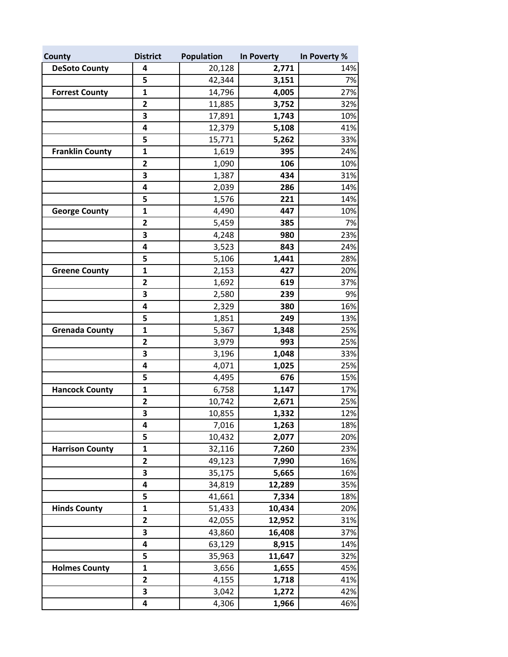| County                 | <b>District</b>         | <b>Population</b> | In Poverty | In Poverty % |
|------------------------|-------------------------|-------------------|------------|--------------|
| <b>DeSoto County</b>   | 4                       | 20,128            | 2,771      | 14%          |
|                        | 5                       | 42,344            | 3,151      | 7%           |
| <b>Forrest County</b>  | $\mathbf{1}$            | 14,796            | 4,005      | 27%          |
|                        | $\overline{\mathbf{c}}$ | 11,885            | 3,752      | 32%          |
|                        | 3                       | 17,891            | 1,743      | 10%          |
|                        | 4                       | 12,379            | 5,108      | 41%          |
|                        | 5                       | 15,771            | 5,262      | 33%          |
| <b>Franklin County</b> | $\mathbf{1}$            | 1,619             | 395        | 24%          |
|                        | $\mathbf{2}$            | 1,090             | 106        | 10%          |
|                        | 3                       | 1,387             | 434        | 31%          |
|                        | 4                       | 2,039             | 286        | 14%          |
|                        | 5                       | 1,576             | 221        | 14%          |
| <b>George County</b>   | $\mathbf{1}$            | 4,490             | 447        | 10%          |
|                        | $\overline{\mathbf{c}}$ | 5,459             | 385        | 7%           |
|                        | 3                       | 4,248             | 980        | 23%          |
|                        | 4                       | 3,523             | 843        | 24%          |
|                        | 5                       | 5,106             | 1,441      | 28%          |
| <b>Greene County</b>   | 1                       | 2,153             | 427        | 20%          |
|                        | $\overline{2}$          | 1,692             | 619        | 37%          |
|                        | 3                       | 2,580             | 239        | 9%           |
|                        | 4                       | 2,329             | 380        | 16%          |
|                        | 5                       | 1,851             | 249        | 13%          |
| <b>Grenada County</b>  | $\mathbf{1}$            | 5,367             | 1,348      | 25%          |
|                        | $\overline{2}$          | 3,979             | 993        | 25%          |
|                        | 3                       | 3,196             | 1,048      | 33%          |
|                        | 4                       | 4,071             | 1,025      | 25%          |
|                        | 5                       | 4,495             | 676        | 15%          |
| <b>Hancock County</b>  | $\mathbf{1}$            | 6,758             | 1,147      | 17%          |
|                        | $\overline{\mathbf{2}}$ | 10,742            | 2,671      | 25%          |
|                        | 3                       | 10,855            | 1,332      | 12%          |
|                        | 4                       | 7,016             | 1,263      | 18%          |
|                        | 5                       | 10,432            | 2,077      | 20%          |
| <b>Harrison County</b> | $\mathbf 1$             | 32,116            | 7,260      | 23%          |
|                        | $\overline{\mathbf{c}}$ | 49,123            | 7,990      | 16%          |
|                        | 3                       | 35,175            | 5,665      | 16%          |
|                        | 4                       | 34,819            | 12,289     | 35%          |
|                        | 5                       | 41,661            | 7,334      | 18%          |
| <b>Hinds County</b>    | $\mathbf{1}$            | 51,433            | 10,434     | 20%          |
|                        | $\overline{\mathbf{c}}$ | 42,055            | 12,952     | 31%          |
|                        | 3                       | 43,860            | 16,408     | 37%          |
|                        | 4                       | 63,129            | 8,915      | 14%          |
|                        | 5                       | 35,963            | 11,647     | 32%          |
| <b>Holmes County</b>   | 1                       | 3,656             | 1,655      | 45%          |
|                        | $\mathbf{2}$            | 4,155             | 1,718      | 41%          |
|                        | 3                       | 3,042             | 1,272      | 42%          |
|                        | 4                       | 4,306             | 1,966      | 46%          |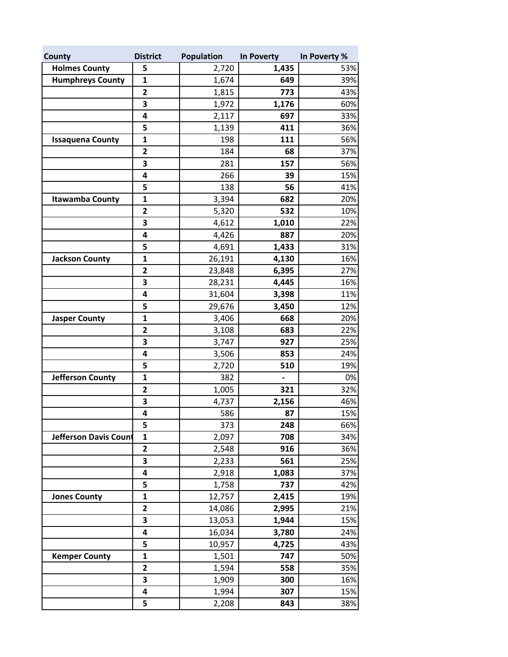| County                  | <b>District</b>         | Population | In Poverty                   | In Poverty % |
|-------------------------|-------------------------|------------|------------------------------|--------------|
| <b>Holmes County</b>    | 5                       | 2,720      | 1,435                        | 53%          |
| <b>Humphreys County</b> | $\mathbf{1}$            | 1,674      | 649                          | 39%          |
|                         | $\mathbf{2}$            | 1,815      | 773                          | 43%          |
|                         | 3                       | 1,972      | 1,176                        | 60%          |
|                         | 4                       | 2,117      | 697                          | 33%          |
|                         | 5                       | 1,139      | 411                          | 36%          |
| <b>Issaquena County</b> | $\mathbf 1$             | 198        | 111                          | 56%          |
|                         | $\overline{\mathbf{c}}$ | 184        | 68                           | 37%          |
|                         | 3                       | 281        | 157                          | 56%          |
|                         | 4                       | 266        | 39                           | 15%          |
|                         | 5                       | 138        | 56                           | 41%          |
| <b>Itawamba County</b>  | 1                       | 3,394      | 682                          | 20%          |
|                         | $\mathbf{2}$            | 5,320      | 532                          | 10%          |
|                         | 3                       | 4,612      | 1,010                        | 22%          |
|                         | 4                       | 4,426      | 887                          | 20%          |
|                         | 5                       | 4,691      | 1,433                        | 31%          |
| <b>Jackson County</b>   | $\mathbf 1$             | 26,191     | 4,130                        | 16%          |
|                         | $\mathbf{2}$            | 23,848     | 6,395                        | 27%          |
|                         | 3                       | 28,231     | 4,445                        | 16%          |
|                         | 4                       | 31,604     | 3,398                        | 11%          |
|                         | 5                       | 29,676     | 3,450                        | 12%          |
| <b>Jasper County</b>    | $\mathbf{1}$            | 3,406      | 668                          | 20%          |
|                         | $\mathbf{2}$            | 3,108      | 683                          | 22%          |
|                         | 3                       | 3,747      | 927                          | 25%          |
|                         | 4                       | 3,506      | 853                          | 24%          |
|                         | 5                       | 2,720      | 510                          | 19%          |
| <b>Jefferson County</b> | 1                       | 382        | $\qquad \qquad \blacksquare$ | 0%           |
|                         | $\overline{\mathbf{c}}$ | 1,005      | 321                          | 32%          |
|                         | 3                       | 4,737      | 2,156                        | 46%          |
|                         | 4                       | 586        | 87                           | 15%          |
|                         | 5                       | 373        | 248                          | 66%          |
| Jefferson Davis Count   | 1                       | 2,097      | 708                          | 34%          |
|                         | $\overline{\mathbf{c}}$ | 2,548      | 916                          | 36%          |
|                         | 3                       | 2,233      | 561                          | 25%          |
|                         | 4                       | 2,918      | 1,083                        | 37%          |
|                         | 5                       | 1,758      | 737                          | 42%          |
| <b>Jones County</b>     | 1                       | 12,757     | 2,415                        | 19%          |
|                         | $\mathbf 2$             | 14,086     | 2,995                        | 21%          |
|                         | 3                       | 13,053     | 1,944                        | 15%          |
|                         | 4                       | 16,034     | 3,780                        | 24%          |
|                         | 5                       | 10,957     | 4,725                        | 43%          |
| <b>Kemper County</b>    | $\mathbf{1}$            | 1,501      | 747                          | 50%          |
|                         | 2                       | 1,594      | 558                          | 35%          |
|                         | 3                       | 1,909      | 300                          | 16%          |
|                         | 4                       | 1,994      | 307                          | 15%          |
|                         | 5                       | 2,208      | 843                          | 38%          |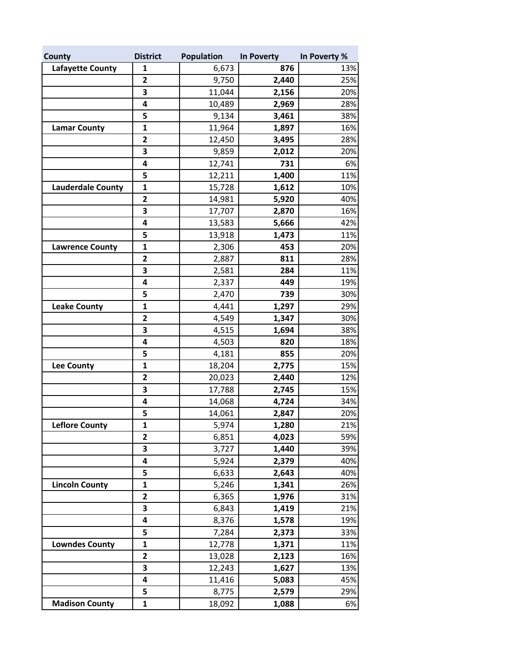| County                   | <b>District</b>         | <b>Population</b> | In Poverty | In Poverty % |
|--------------------------|-------------------------|-------------------|------------|--------------|
| <b>Lafayette County</b>  | 1                       | 6,673             | 876        | 13%          |
|                          | $\mathbf{2}$            | 9,750             | 2,440      | 25%          |
|                          | 3                       | 11,044            | 2,156      | 20%          |
|                          | 4                       | 10,489            | 2,969      | 28%          |
|                          | 5                       | 9,134             | 3,461      | 38%          |
| <b>Lamar County</b>      | $\mathbf{1}$            | 11,964            | 1,897      | 16%          |
|                          | 2                       | 12,450            | 3,495      | 28%          |
|                          | 3                       | 9,859             | 2,012      | 20%          |
|                          | 4                       | 12,741            | 731        | 6%           |
|                          | 5                       | 12,211            | 1,400      | 11%          |
| <b>Lauderdale County</b> | $\mathbf{1}$            | 15,728            | 1,612      | 10%          |
|                          | 2                       | 14,981            | 5,920      | 40%          |
|                          | 3                       | 17,707            | 2,870      | 16%          |
|                          | 4                       | 13,583            | 5,666      | 42%          |
|                          | 5                       | 13,918            | 1,473      | 11%          |
| <b>Lawrence County</b>   | $\mathbf{1}$            | 2,306             | 453        | 20%          |
|                          | 2                       | 2,887             | 811        | 28%          |
|                          | 3                       | 2,581             | 284        | 11%          |
|                          | 4                       | 2,337             | 449        | 19%          |
|                          | 5                       | 2,470             | 739        | 30%          |
| <b>Leake County</b>      | $\mathbf{1}$            | 4,441             | 1,297      | 29%          |
|                          | $\overline{\mathbf{c}}$ | 4,549             | 1,347      | 30%          |
|                          | 3                       | 4,515             | 1,694      | 38%          |
|                          | 4                       | 4,503             | 820        | 18%          |
|                          | 5                       | 4,181             | 855        | 20%          |
| <b>Lee County</b>        | $\mathbf{1}$            | 18,204            | 2,775      | 15%          |
|                          | $\overline{\mathbf{c}}$ | 20,023            | 2,440      | 12%          |
|                          | 3                       | 17,788            | 2,745      | 15%          |
|                          | 4                       | 14,068            | 4,724      | 34%          |
|                          | 5                       | 14,061            | 2,847      | 20%          |
| <b>Leflore County</b>    | $\mathbf 1$             | 5,974             | 1,280      | 21%          |
|                          | $\mathbf{2}$            | 6,851             | 4,023      | 59%          |
|                          | 3                       | 3,727             | 1,440      | 39%          |
|                          | 4                       | 5,924             | 2,379      | 40%          |
|                          | 5                       | 6,633             | 2,643      | 40%          |
| <b>Lincoln County</b>    | $\mathbf{1}$            | 5,246             | 1,341      | 26%          |
|                          | $\overline{\mathbf{c}}$ | 6,365             | 1,976      | 31%          |
|                          | 3                       | 6,843             | 1,419      | 21%          |
|                          | 4                       | 8,376             | 1,578      | 19%          |
|                          | 5                       | 7,284             | 2,373      | 33%          |
| <b>Lowndes County</b>    | $\mathbf 1$             | 12,778            | 1,371      | 11%          |
|                          | $\overline{\mathbf{c}}$ | 13,028            | 2,123      | 16%          |
|                          | 3                       | 12,243            | 1,627      | 13%          |
|                          | 4                       | 11,416            | 5,083      | 45%          |
|                          | 5                       | 8,775             | 2,579      | 29%          |
| <b>Madison County</b>    | 1                       | 18,092            | 1,088      | 6%           |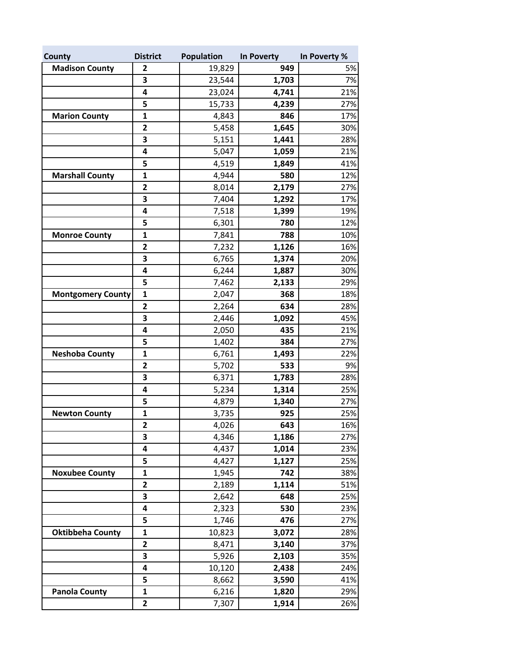| County                   | <b>District</b>         | <b>Population</b> | In Poverty | In Poverty % |
|--------------------------|-------------------------|-------------------|------------|--------------|
| <b>Madison County</b>    | 2                       | 19,829            | 949        | 5%           |
|                          | 3                       | 23,544            | 1,703      | 7%           |
|                          | 4                       | 23,024            | 4,741      | 21%          |
|                          | 5                       | 15,733            | 4,239      | 27%          |
| <b>Marion County</b>     | 1                       | 4,843             | 846        | 17%          |
|                          | $\mathbf{2}$            | 5,458             | 1,645      | 30%          |
|                          | 3                       | 5,151             | 1,441      | 28%          |
|                          | 4                       | 5,047             | 1,059      | 21%          |
|                          | 5                       | 4,519             | 1,849      | 41%          |
| <b>Marshall County</b>   | 1                       | 4,944             | 580        | 12%          |
|                          | $\mathbf{2}$            | 8,014             | 2,179      | 27%          |
|                          | 3                       | 7,404             | 1,292      | 17%          |
|                          | 4                       | 7,518             | 1,399      | 19%          |
|                          | 5                       | 6,301             | 780        | 12%          |
| <b>Monroe County</b>     | $\mathbf 1$             | 7,841             | 788        | 10%          |
|                          | $\mathbf{2}$            | 7,232             | 1,126      | 16%          |
|                          | 3                       | 6,765             | 1,374      | 20%          |
|                          | 4                       | 6,244             | 1,887      | 30%          |
|                          | 5                       | 7,462             | 2,133      | 29%          |
| <b>Montgomery County</b> | $\mathbf{1}$            | 2,047             | 368        | 18%          |
|                          | $\mathbf{2}$            | 2,264             | 634        | 28%          |
|                          | 3                       | 2,446             | 1,092      | 45%          |
|                          | 4                       | 2,050             | 435        | 21%          |
|                          | 5                       | 1,402             | 384        | 27%          |
| <b>Neshoba County</b>    | $\mathbf{1}$            | 6,761             | 1,493      | 22%          |
|                          | $\overline{\mathbf{c}}$ | 5,702             | 533        | 9%           |
|                          | 3                       | 6,371             | 1,783      | 28%          |
|                          | 4                       | 5,234             | 1,314      | 25%          |
|                          | 5                       | 4,879             | 1,340      | 27%          |
| <b>Newton County</b>     | 1                       | 3,735             | 925        | 25%          |
|                          | $\mathbf{2}$            | 4,026             | 643        | 16%          |
|                          | 3                       | 4,346             | 1,186      | 27%          |
|                          | 4                       | 4,437             | 1,014      | 23%          |
|                          | 5                       | 4,427             | 1,127      | 25%          |
| <b>Noxubee County</b>    | $\mathbf 1$             | 1,945             | 742        | 38%          |
|                          | $\mathbf{2}$            | 2,189             | 1,114      | 51%          |
|                          | 3                       | 2,642             | 648        | 25%          |
|                          | 4                       | 2,323             | 530        | 23%          |
|                          | 5                       | 1,746             | 476        | 27%          |
| <b>Oktibbeha County</b>  | $\mathbf 1$             | 10,823            | 3,072      | 28%          |
|                          | $\mathbf{2}$            | 8,471             | 3,140      | 37%          |
|                          | 3                       | 5,926             | 2,103      | 35%          |
|                          | 4                       | 10,120            | 2,438      | 24%          |
|                          | 5                       | 8,662             | 3,590      | 41%          |
| <b>Panola County</b>     | $\mathbf{1}$            | 6,216             | 1,820      | 29%          |
|                          | $\mathbf{2}$            | 7,307             | 1,914      | 26%          |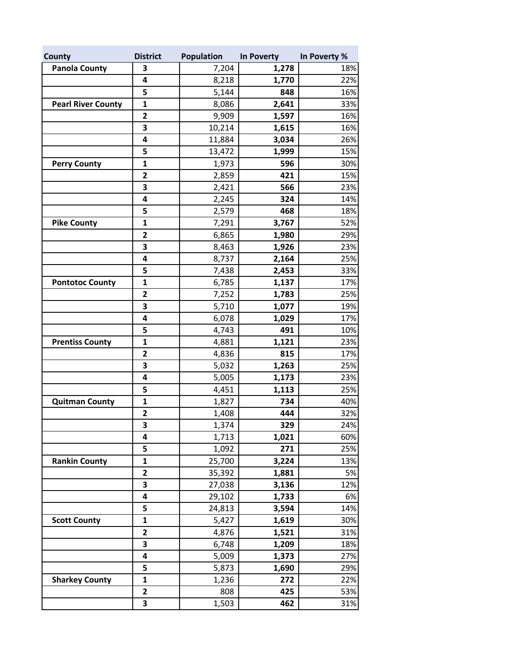| County                    | <b>District</b>         | <b>Population</b> | In Poverty | In Poverty % |
|---------------------------|-------------------------|-------------------|------------|--------------|
| <b>Panola County</b>      | 3                       | 7,204             | 1,278      | 18%          |
|                           | 4                       | 8,218             | 1,770      | 22%          |
|                           | 5                       | 5,144             | 848        | 16%          |
| <b>Pearl River County</b> | $\mathbf{1}$            | 8,086             | 2,641      | 33%          |
|                           | $\mathbf{2}$            | 9,909             | 1,597      | 16%          |
|                           | 3                       | 10,214            | 1,615      | 16%          |
|                           | 4                       | 11,884            | 3,034      | 26%          |
|                           | 5                       | 13,472            | 1,999      | 15%          |
| <b>Perry County</b>       | 1                       | 1,973             | 596        | 30%          |
|                           | $\overline{\mathbf{c}}$ | 2,859             | 421        | 15%          |
|                           | 3                       | 2,421             | 566        | 23%          |
|                           | 4                       | 2,245             | 324        | 14%          |
|                           | 5                       | 2,579             | 468        | 18%          |
| <b>Pike County</b>        | 1                       | 7,291             | 3,767      | 52%          |
|                           | $\mathbf{2}$            | 6,865             | 1,980      | 29%          |
|                           | 3                       | 8,463             | 1,926      | 23%          |
|                           | 4                       | 8,737             | 2,164      | 25%          |
|                           | 5                       | 7,438             | 2,453      | 33%          |
| <b>Pontotoc County</b>    | $\mathbf{1}$            | 6,785             | 1,137      | 17%          |
|                           | $\mathbf{2}$            | 7,252             | 1,783      | 25%          |
|                           | 3                       | 5,710             | 1,077      | 19%          |
|                           | 4                       | 6,078             | 1,029      | 17%          |
|                           | 5                       | 4,743             | 491        | 10%          |
| <b>Prentiss County</b>    | $\mathbf{1}$            | 4,881             | 1,121      | 23%          |
|                           | 2                       | 4,836             | 815        | 17%          |
|                           | 3                       | 5,032             | 1,263      | 25%          |
|                           | 4                       | 5,005             | 1,173      | 23%          |
|                           | 5                       | 4,451             | 1,113      | 25%          |
| <b>Quitman County</b>     | $\mathbf{1}$            | 1,827             | 734        | 40%          |
|                           | $\mathbf{2}$            | 1,408             | 444        | 32%          |
|                           | 3                       | 1,374             | 329        | 24%          |
|                           | 4                       | 1,713             | 1,021      | 60%          |
|                           | 5                       | 1,092             | 271        | 25%          |
| <b>Rankin County</b>      | $\mathbf{1}$            | 25,700            | 3,224      | 13%          |
|                           | 2                       | 35,392            | 1,881      | 5%           |
|                           | 3                       | 27,038            | 3,136      | 12%          |
|                           | 4                       | 29,102            | 1,733      | 6%           |
|                           | 5                       | 24,813            | 3,594      | 14%          |
| <b>Scott County</b>       | 1                       | 5,427             | 1,619      | 30%          |
|                           | 2                       | 4,876             | 1,521      | 31%          |
|                           | 3                       | 6,748             | 1,209      | 18%          |
|                           | 4                       | 5,009             | 1,373      | 27%          |
|                           | 5                       | 5,873             | 1,690      | 29%          |
| <b>Sharkey County</b>     | 1                       | 1,236             | 272        | 22%          |
|                           | 2                       | 808               | 425        | 53%          |
|                           | 3                       | 1,503             | 462        | 31%          |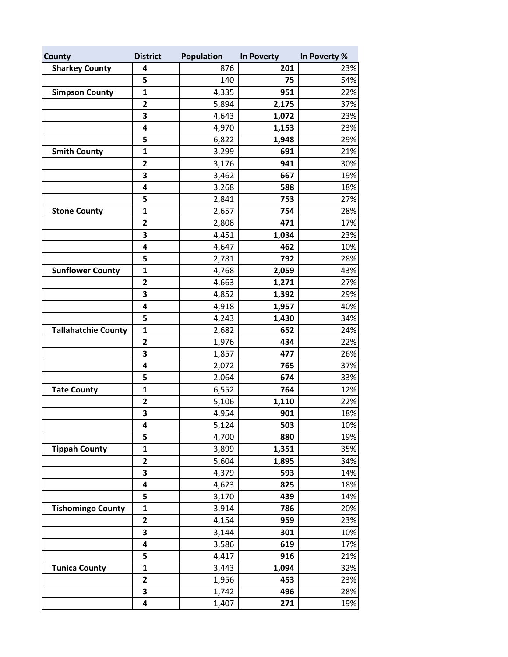| County                     | <b>District</b>         | <b>Population</b> | In Poverty | In Poverty % |
|----------------------------|-------------------------|-------------------|------------|--------------|
| <b>Sharkey County</b>      | 4                       | 876               | 201        | 23%          |
|                            | 5                       | 140               | 75         | 54%          |
| <b>Simpson County</b>      | $\mathbf{1}$            | 4,335             | 951        | 22%          |
|                            | $\overline{\mathbf{c}}$ | 5,894             | 2,175      | 37%          |
|                            | 3                       | 4,643             | 1,072      | 23%          |
|                            | 4                       | 4,970             | 1,153      | 23%          |
|                            | 5                       | 6,822             | 1,948      | 29%          |
| <b>Smith County</b>        | $\mathbf{1}$            | 3,299             | 691        | 21%          |
|                            | $\mathbf 2$             | 3,176             | 941        | 30%          |
|                            | 3                       | 3,462             | 667        | 19%          |
|                            | 4                       | 3,268             | 588        | 18%          |
|                            | 5                       | 2,841             | 753        | 27%          |
| <b>Stone County</b>        | $\mathbf{1}$            | 2,657             | 754        | 28%          |
|                            | $\overline{\mathbf{c}}$ | 2,808             | 471        | 17%          |
|                            | 3                       | 4,451             | 1,034      | 23%          |
|                            | 4                       | 4,647             | 462        | 10%          |
|                            | 5                       | 2,781             | 792        | 28%          |
| <b>Sunflower County</b>    | $\mathbf{1}$            | 4,768             | 2,059      | 43%          |
|                            | $\mathbf{2}$            | 4,663             | 1,271      | 27%          |
|                            | 3                       | 4,852             | 1,392      | 29%          |
|                            | 4                       | 4,918             | 1,957      | 40%          |
|                            | 5                       | 4,243             | 1,430      | 34%          |
| <b>Tallahatchie County</b> | $\mathbf{1}$            | 2,682             | 652        | 24%          |
|                            | $\overline{\mathbf{c}}$ | 1,976             | 434        | 22%          |
|                            | 3                       | 1,857             | 477        | 26%          |
|                            | 4                       | 2,072             | 765        | 37%          |
|                            | 5                       | 2,064             | 674        | 33%          |
| <b>Tate County</b>         | $\mathbf{1}$            | 6,552             | 764        | 12%          |
|                            | $\overline{\mathbf{c}}$ | 5,106             | 1,110      | 22%          |
|                            | 3                       | 4,954             | 901        | 18%          |
|                            | 4                       | 5,124             | 503        | 10%          |
|                            | 5                       | 4,700             | 880        | 19%          |
| <b>Tippah County</b>       | $\mathbf{1}$            | 3,899             | 1,351      | 35%          |
|                            | $\mathbf{2}$            | 5,604             | 1,895      | 34%          |
|                            | 3                       | 4,379             | 593        | 14%          |
|                            | 4                       | 4,623             | 825        | 18%          |
|                            | 5                       | 3,170             | 439        | 14%          |
| <b>Tishomingo County</b>   | $\mathbf 1$             | 3,914             | 786        | 20%          |
|                            | $\overline{\mathbf{c}}$ | 4,154             | 959        | 23%          |
|                            | 3                       | 3,144             | 301        | 10%          |
|                            | 4                       | 3,586             | 619        | 17%          |
|                            | 5                       | 4,417             | 916        | 21%          |
| <b>Tunica County</b>       | $\mathbf 1$             | 3,443             | 1,094      | 32%          |
|                            | $\mathbf{2}$            | 1,956             | 453        | 23%          |
|                            | 3                       | 1,742             | 496        | 28%          |
|                            | 4                       | 1,407             | 271        | 19%          |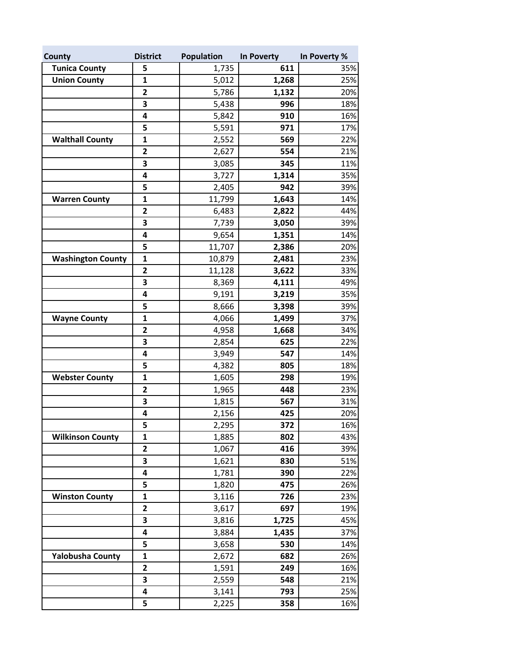| County                   | <b>District</b>         | Population | In Poverty | In Poverty % |
|--------------------------|-------------------------|------------|------------|--------------|
| <b>Tunica County</b>     | 5                       | 1,735      | 611        | 35%          |
| <b>Union County</b>      | $\mathbf{1}$            | 5,012      | 1,268      | 25%          |
|                          | $\mathbf{2}$            | 5,786      | 1,132      | 20%          |
|                          | 3                       | 5,438      | 996        | 18%          |
|                          | 4                       | 5,842      | 910        | 16%          |
|                          | 5                       | 5,591      | 971        | 17%          |
| <b>Walthall County</b>   | $\mathbf{1}$            | 2,552      | 569        | 22%          |
|                          | $\mathbf{2}$            | 2,627      | 554        | 21%          |
|                          | 3                       | 3,085      | 345        | 11%          |
|                          | 4                       | 3,727      | 1,314      | 35%          |
|                          | 5                       | 2,405      | 942        | 39%          |
| <b>Warren County</b>     | 1                       | 11,799     | 1,643      | 14%          |
|                          | $\mathbf{2}$            | 6,483      | 2,822      | 44%          |
|                          | 3                       | 7,739      | 3,050      | 39%          |
|                          | 4                       | 9,654      | 1,351      | 14%          |
|                          | 5                       | 11,707     | 2,386      | 20%          |
| <b>Washington County</b> | $\mathbf{1}$            | 10,879     | 2,481      | 23%          |
|                          | $\mathbf{2}$            | 11,128     | 3,622      | 33%          |
|                          | 3                       | 8,369      | 4,111      | 49%          |
|                          | 4                       | 9,191      | 3,219      | 35%          |
|                          | 5                       | 8,666      | 3,398      | 39%          |
| <b>Wayne County</b>      | $\mathbf{1}$            | 4,066      | 1,499      | 37%          |
|                          | $\mathbf{2}$            | 4,958      | 1,668      | 34%          |
|                          | 3                       | 2,854      | 625        | 22%          |
|                          | 4                       | 3,949      | 547        | 14%          |
|                          | 5                       | 4,382      | 805        | 18%          |
| <b>Webster County</b>    | $\mathbf{1}$            | 1,605      | 298        | 19%          |
|                          | $\overline{\mathbf{c}}$ | 1,965      | 448        | 23%          |
|                          | 3                       | 1,815      | 567        | 31%          |
|                          | 4                       | 2,156      | 425        | 20%          |
|                          | 5                       | 2,295      | 372        | 16%          |
| <b>Wilkinson County</b>  | $\mathbf{1}$            | 1,885      | 802        | 43%          |
|                          | $\mathbf 2$             | 1,067      | 416        | 39%          |
|                          | 3                       | 1,621      | 830        | 51%          |
|                          | 4                       | 1,781      | 390        | 22%          |
|                          | 5                       | 1,820      | 475        | 26%          |
| <b>Winston County</b>    | $\mathbf{1}$            | 3,116      | 726        | 23%          |
|                          | $\mathbf{2}$            | 3,617      | 697        | 19%          |
|                          | 3                       | 3,816      | 1,725      | 45%          |
|                          | 4                       | 3,884      | 1,435      | 37%          |
|                          | 5                       | 3,658      | 530        | 14%          |
| <b>Yalobusha County</b>  | $\mathbf{1}$            | 2,672      | 682        | 26%          |
|                          | $\mathbf{2}$            | 1,591      | 249        | 16%          |
|                          | 3                       | 2,559      | 548        | 21%          |
|                          | 4                       | 3,141      | 793        | 25%          |
|                          | 5                       | 2,225      | 358        | 16%          |